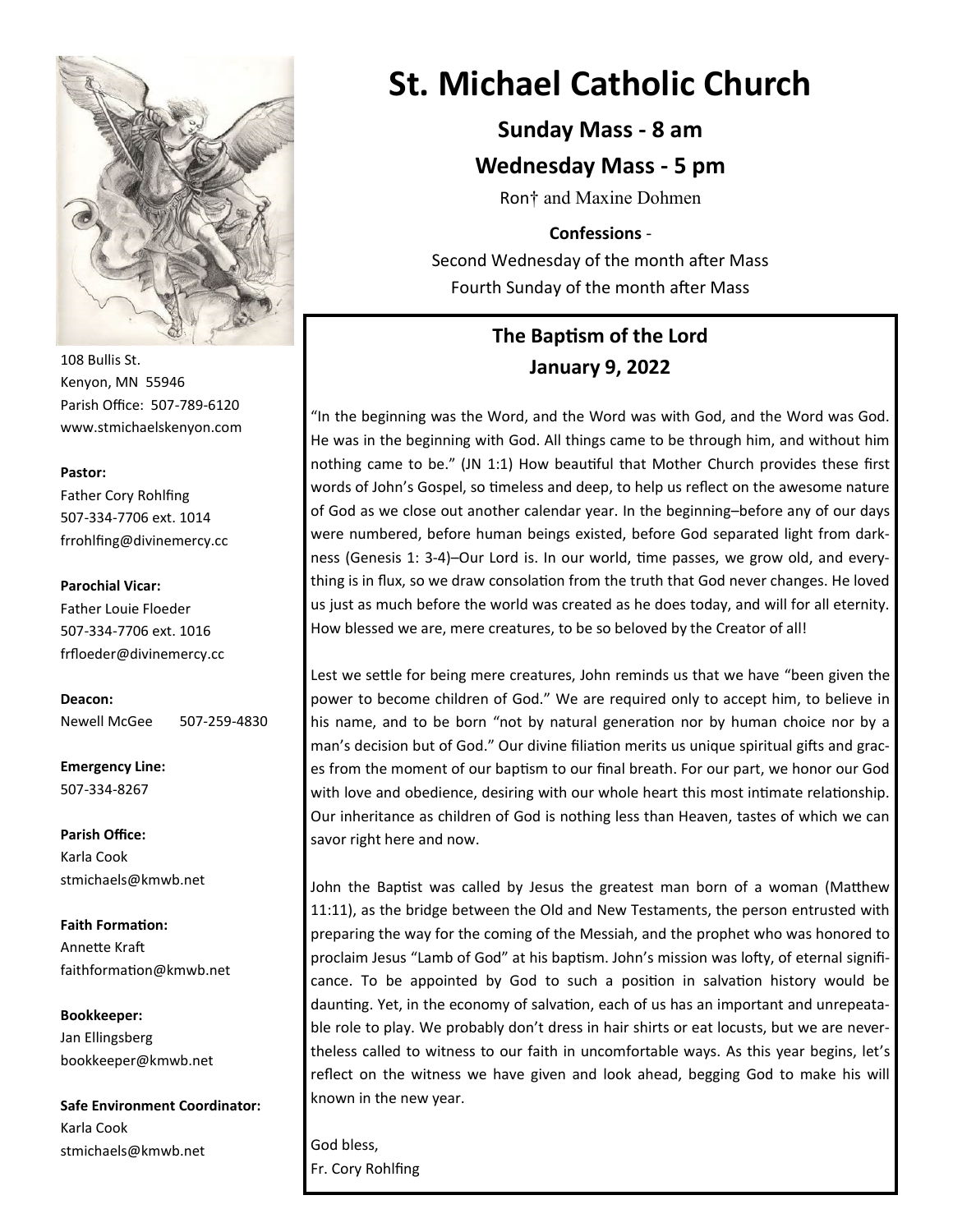

108 Bullis St. Kenyon, MN 55946 Parish Office: 507-789-6120 www.stmichaelskenyon.com

#### **Pastor:**

Father Cory Rohlfing 507-334-7706 ext. 1014 frrohlfing@divinemercy.cc

#### **Parochial Vicar:**

Father Louie Floeder 507-334-7706 ext. 1016 frfloeder@divinemercy.cc

**Deacon:**  Newell McGee 507-259-4830

**Emergency Line:** 507-334-8267

**Parish Office:**  Karla Cook stmichaels@kmwb.net

**Faith Formation:**  Annette Kraft faithformation@kmwb.net

**Bookkeeper:**  Jan Ellingsberg bookkeeper@kmwb.net

**Safe Environment Coordinator:** Karla Cook stmichaels@kmwb.net

# **St. Michael Catholic Church**

## **Sunday Mass - 8 am**

## **Wednesday Mass - 5 pm**

Ron† and Maxine Dohmen

### **Confessions** -

Second Wednesday of the month after Mass Fourth Sunday of the month after Mass

## **The Baptism of the Lord January 9, 2022**

"In the beginning was the Word, and the Word was with God, and the Word was God. He was in the beginning with God. All things came to be through him, and without him nothing came to be." (JN 1:1) How beautiful that Mother Church provides these first words of John's Gospel, so timeless and deep, to help us reflect on the awesome nature of God as we close out another calendar year. In the beginning–before any of our days were numbered, before human beings existed, before God separated light from darkness (Genesis 1: 3-4)–Our Lord is. In our world, time passes, we grow old, and everything is in flux, so we draw consolation from the truth that God never changes. He loved us just as much before the world was created as he does today, and will for all eternity. How blessed we are, mere creatures, to be so beloved by the Creator of all!

Lest we settle for being mere creatures, John reminds us that we have "been given the power to become children of God." We are required only to accept him, to believe in his name, and to be born "not by natural generation nor by human choice nor by a man's decision but of God." Our divine filiation merits us unique spiritual gifts and graces from the moment of our baptism to our final breath. For our part, we honor our God with love and obedience, desiring with our whole heart this most intimate relationship. Our inheritance as children of God is nothing less than Heaven, tastes of which we can savor right here and now.

John the Baptist was called by Jesus the greatest man born of a woman (Matthew 11:11), as the bridge between the Old and New Testaments, the person entrusted with preparing the way for the coming of the Messiah, and the prophet who was honored to proclaim Jesus "Lamb of God" at his baptism. John's mission was lofty, of eternal significance. To be appointed by God to such a position in salvation history would be daunting. Yet, in the economy of salvation, each of us has an important and unrepeatable role to play. We probably don't dress in hair shirts or eat locusts, but we are nevertheless called to witness to our faith in uncomfortable ways. As this year begins, let's reflect on the witness we have given and look ahead, begging God to make his will known in the new year.

God bless, Fr. Cory Rohlfing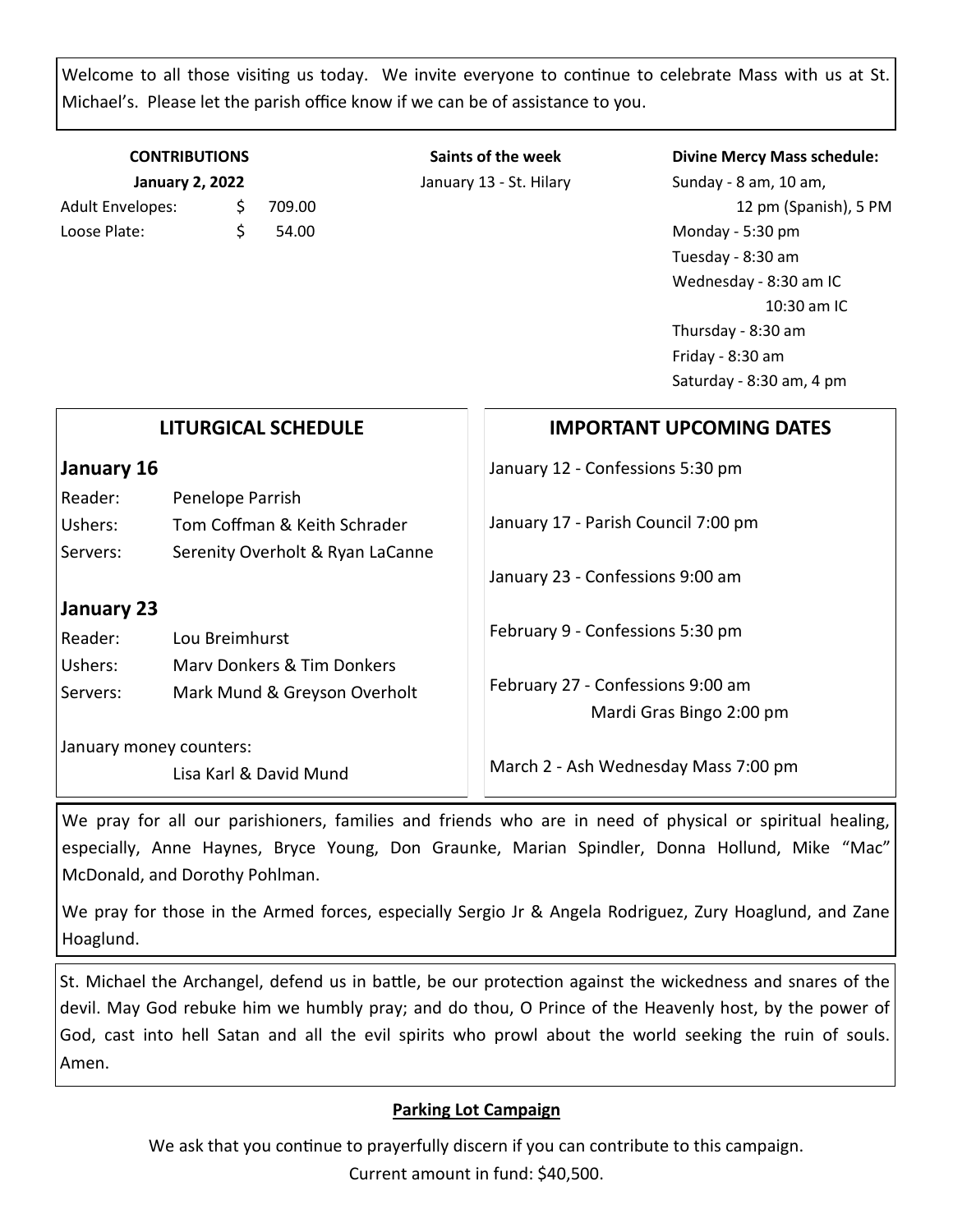Welcome to all those visiting us today. We invite everyone to continue to celebrate Mass with us at St. Michael's. Please let the parish office know if we can be of assistance to you.

| <b>CONTRIBUTIONS</b><br><b>January 2, 2022</b> |    |       |  |  |
|------------------------------------------------|----|-------|--|--|
|                                                |    |       |  |  |
| Loose Plate:                                   | Ś. | 54.00 |  |  |

**Saints of the week** January 13 - St. Hilary

#### **Divine Mercy Mass schedule:**

Sunday - 8 am, 10 am, 12 pm (Spanish), 5 PM Monday - 5:30 pm Tuesday - 8:30 am Wednesday - 8:30 am IC 10:30 am IC Thursday - 8:30 am Friday - 8:30 am Saturday - 8:30 am, 4 pm

| <b>LITURGICAL SCHEDULE</b> |                                  | <b>IMPORTANT UPCOMING DATES</b>      |  |
|----------------------------|----------------------------------|--------------------------------------|--|
| January 16                 |                                  | January 12 - Confessions 5:30 pm     |  |
| Reader:                    | Penelope Parrish                 |                                      |  |
| Ushers:                    | Tom Coffman & Keith Schrader     | January 17 - Parish Council 7:00 pm  |  |
| Servers:                   | Serenity Overholt & Ryan LaCanne |                                      |  |
|                            |                                  | January 23 - Confessions 9:00 am     |  |
| January 23                 |                                  |                                      |  |
| Reader:                    | Lou Breimhurst                   | February 9 - Confessions 5:30 pm     |  |
| Ushers:                    | Mary Donkers & Tim Donkers       |                                      |  |
| Servers:                   | Mark Mund & Greyson Overholt     | February 27 - Confessions 9:00 am    |  |
|                            |                                  | Mardi Gras Bingo 2:00 pm             |  |
| January money counters:    | Lisa Karl & David Mund           | March 2 - Ash Wednesday Mass 7:00 pm |  |

We pray for all our parishioners, families and friends who are in need of physical or spiritual healing, especially, Anne Haynes, Bryce Young, Don Graunke, Marian Spindler, Donna Hollund, Mike "Mac" McDonald, and Dorothy Pohlman.

We pray for those in the Armed forces, especially Sergio Jr & Angela Rodriguez, Zury Hoaglund, and Zane Hoaglund.

St. Michael the Archangel, defend us in battle, be our protection against the wickedness and snares of the devil. May God rebuke him we humbly pray; and do thou, O Prince of the Heavenly host, by the power of God, cast into hell Satan and all the evil spirits who prowl about the world seeking the ruin of souls. Amen.

## **Parking Lot Campaign**

We ask that you continue to prayerfully discern if you can contribute to this campaign. Current amount in fund: \$40,500.